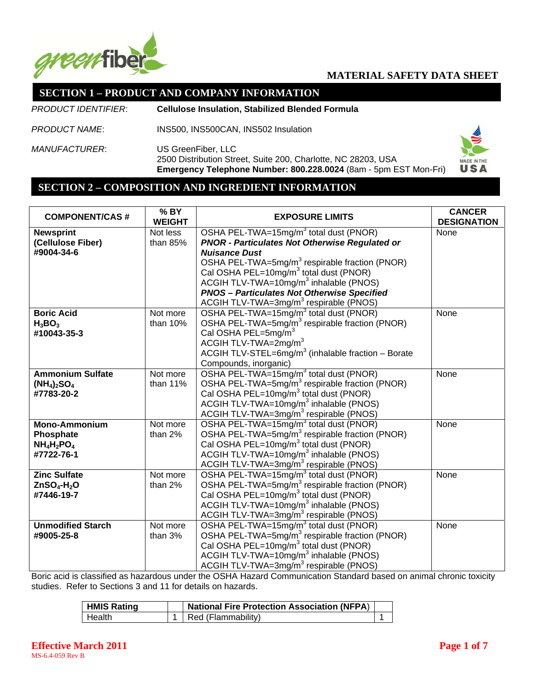

#### **SECTION 1 – PRODUCT AND COMPANY INFORMATION**

*PRODUCT IDENTIFIER*: **Cellulose Insulation, Stabilized Blended Formula**

*PRODUCT NAME*: INS500, INS500CAN, INS502 Insulation

*MANUFACTURER*: US GreenFiber, LLC 2500 Distribution Street, Suite 200, Charlotte, NC 28203, USA **Emergency Telephone Number: 800.228.0024** (8am - 5pm EST Mon-Fri)



#### **SECTION 2 – COMPOSITION AND INGREDIENT INFORMATION**

| <b>COMPONENT/CAS#</b>    | % BY<br><b>WEIGHT</b> | <b>CANCER</b><br><b>EXPOSURE LIMITS</b><br><b>DESIGNATION</b>  |      |
|--------------------------|-----------------------|----------------------------------------------------------------|------|
| <b>Newsprint</b>         | Not less              | OSHA PEL-TWA=15mg/m <sup>3</sup> total dust (PNOR)<br>None     |      |
| (Cellulose Fiber)        | than 85%              | <b>PNOR - Particulates Not Otherwise Regulated or</b>          |      |
| #9004-34-6               |                       | <b>Nuisance Dust</b>                                           |      |
|                          |                       | OSHA PEL-TWA=5mg/m <sup>3</sup> respirable fraction (PNOR)     |      |
|                          |                       | Cal OSHA PEL=10mg/m <sup>3</sup> total dust (PNOR)             |      |
|                          |                       | ACGIH TLV-TWA=10 $mg/m3$ inhalable (PNOS)                      |      |
|                          |                       | <b>PNOS - Particulates Not Otherwise Specified</b>             |      |
|                          |                       | ACGIH TLV-TWA=3mg/m <sup>3</sup> respirable (PNOS)             |      |
| <b>Boric Acid</b>        | Not more              | OSHA PEL-TWA=15mg/m <sup>3</sup> total dust (PNOR)             | None |
| $H_3BO_3$                | than 10%              | OSHA PEL-TWA=5mg/m <sup>3</sup> respirable fraction (PNOR)     |      |
| #10043-35-3              |                       | Cal OSHA PEL=5mg/m <sup>3</sup>                                |      |
|                          |                       | ACGIH TLV-TWA=2mg/m <sup>3</sup>                               |      |
|                          |                       | ACGIH TLV-STEL=6mg/m <sup>3</sup> (inhalable fraction - Borate |      |
|                          |                       | Compounds, inorganic)                                          |      |
| <b>Ammonium Sulfate</b>  | Not more              | OSHA PEL-TWA=15mg/m <sup>3</sup> total dust (PNOR)             | None |
| $(NH_4)_2SO_4$           | than 11%              | OSHA PEL-TWA=5mg/m <sup>3</sup> respirable fraction (PNOR)     |      |
| #7783-20-2               |                       | Cal OSHA PEL=10mg/m <sup>3</sup> total dust (PNOR)             |      |
|                          |                       | ACGIH TLV-TWA=10mg/m <sup>3</sup> inhalable (PNOS)             |      |
|                          |                       | ACGIH TLV-TWA=3mg/m <sup>3</sup> respirable (PNOS)             |      |
| <b>Mono-Ammonium</b>     | Not more              | OSHA PEL-TWA=15mg/m <sup>3</sup> total dust (PNOR)             | None |
| Phosphate                | than 2%               | OSHA PEL-TWA=5mg/m <sup>3</sup> respirable fraction (PNOR)     |      |
| $NH_4H_2PO_4$            |                       | Cal OSHA PEL=10mg/m <sup>3</sup> total dust (PNOR)             |      |
| #7722-76-1               |                       | ACGIH TLV-TWA=10mg/m <sup>3</sup> inhalable (PNOS)             |      |
|                          |                       | ACGIH TLV-TWA=3mg/m <sup>3</sup> respirable (PNOS)             |      |
| <b>Zinc Sulfate</b>      | Not more              | OSHA PEL-TWA=15mg/m <sup>3</sup> total dust (PNOR)             | None |
| $ZnSO4-H2O$              | than 2%               | OSHA PEL-TWA=5mg/m <sup>3</sup> respirable fraction (PNOR)     |      |
| #7446-19-7               |                       | Cal OSHA PEL=10mg/m <sup>3</sup> total dust (PNOR)             |      |
|                          |                       | ACGIH TLV-TWA=10mg/m <sup>3</sup> inhalable (PNOS)             |      |
|                          |                       | ACGIH TLV-TWA=3mg/m <sup>3</sup> respirable (PNOS)             |      |
| <b>Unmodified Starch</b> | Not more              | OSHA PEL-TWA=15mg/m <sup>3</sup> total dust (PNOR)             | None |
| #9005-25-8               | than 3%               | OSHA PEL-TWA=5mg/m <sup>3</sup> respirable fraction (PNOR)     |      |
|                          |                       | Cal OSHA PEL=10mg/m <sup>3</sup> total dust (PNOR)             |      |
|                          |                       | ACGIH TLV-TWA=10 $mg/m3$ inhalable (PNOS)                      |      |
|                          |                       | ACGIH TLV-TWA=3mg/m <sup>3</sup> respirable (PNOS)             |      |

Boric acid is classified as hazardous under the OSHA Hazard Communication Standard based on animal chronic toxicity studies. Refer to Sections 3 and 11 for details on hazards.

| <b>HMIS Rating</b> | <b>National Fire Protection Association (NFPA)</b> |  |
|--------------------|----------------------------------------------------|--|
| + Health⊹          | Red (Flammability)                                 |  |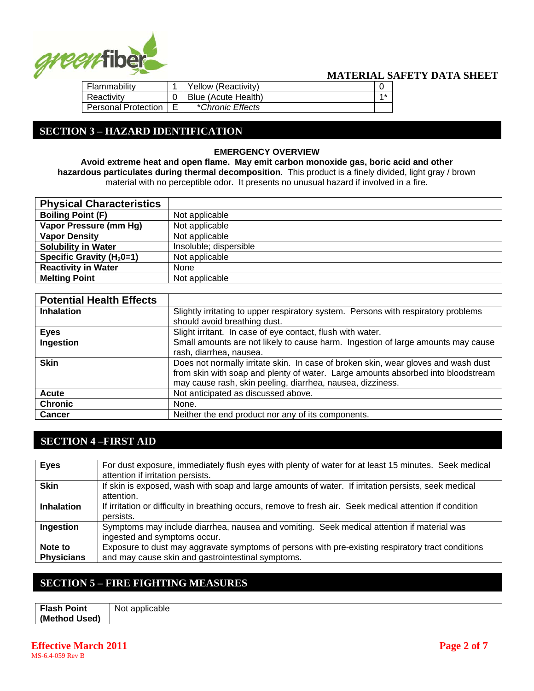

| Flammability               |   | Yellow (Reactivity) |      |  |
|----------------------------|---|---------------------|------|--|
| Reactivity                 |   | Blue (Acute Health) | $4*$ |  |
| <b>Personal Protection</b> | F | *Chronic Effects    |      |  |

### **SECTION 3 – HAZARD IDENTIFICATION**

#### **EMERGENCY OVERVIEW**

**Avoid extreme heat and open flame. May emit carbon monoxide gas, boric acid and other hazardous particulates during thermal decomposition**. This product is a finely divided, light gray / brown material with no perceptible odor. It presents no unusual hazard if involved in a fire.

| <b>Physical Characteristics</b> |                        |
|---------------------------------|------------------------|
| <b>Boiling Point (F)</b>        | Not applicable         |
| Vapor Pressure (mm Hg)          | Not applicable         |
| <b>Vapor Density</b>            | Not applicable         |
| <b>Solubility in Water</b>      | Insoluble; dispersible |
| Specific Gravity ( $H_2$ 0=1)   | Not applicable         |
| <b>Reactivity in Water</b>      | None                   |
| <b>Melting Point</b>            | Not applicable         |

| <b>Potential Health Effects</b> |                                                                                                                                                                                                                                      |
|---------------------------------|--------------------------------------------------------------------------------------------------------------------------------------------------------------------------------------------------------------------------------------|
| <b>Inhalation</b>               | Slightly irritating to upper respiratory system. Persons with respiratory problems                                                                                                                                                   |
|                                 | should avoid breathing dust.                                                                                                                                                                                                         |
| <b>Eyes</b>                     | Slight irritant. In case of eye contact, flush with water.                                                                                                                                                                           |
| Ingestion                       | Small amounts are not likely to cause harm. Ingestion of large amounts may cause<br>rash, diarrhea, nausea.                                                                                                                          |
| <b>Skin</b>                     | Does not normally irritate skin. In case of broken skin, wear gloves and wash dust<br>from skin with soap and plenty of water. Large amounts absorbed into bloodstream<br>may cause rash, skin peeling, diarrhea, nausea, dizziness. |
| Acute                           | Not anticipated as discussed above.                                                                                                                                                                                                  |
| <b>Chronic</b>                  | None.                                                                                                                                                                                                                                |
| <b>Cancer</b>                   | Neither the end product nor any of its components.                                                                                                                                                                                   |

### **SECTION 4 –FIRST AID**

| <b>Eyes</b>                  | For dust exposure, immediately flush eyes with plenty of water for at least 15 minutes. Seek medical<br>attention if irritation persists.              |
|------------------------------|--------------------------------------------------------------------------------------------------------------------------------------------------------|
| <b>Skin</b>                  | If skin is exposed, wash with soap and large amounts of water. If irritation persists, seek medical<br>attention.                                      |
| <b>Inhalation</b>            | If irritation or difficulty in breathing occurs, remove to fresh air. Seek medical attention if condition<br>persists.                                 |
| Ingestion                    | Symptoms may include diarrhea, nausea and vomiting. Seek medical attention if material was<br>ingested and symptoms occur.                             |
| Note to<br><b>Physicians</b> | Exposure to dust may aggravate symptoms of persons with pre-existing respiratory tract conditions<br>and may cause skin and gastrointestinal symptoms. |

## **SECTION 5 – FIRE FIGHTING MEASURES**

| Flash .<br><b>Point</b> | . .<br><b>Not</b><br>applicable |
|-------------------------|---------------------------------|
| (Method<br>Used)        |                                 |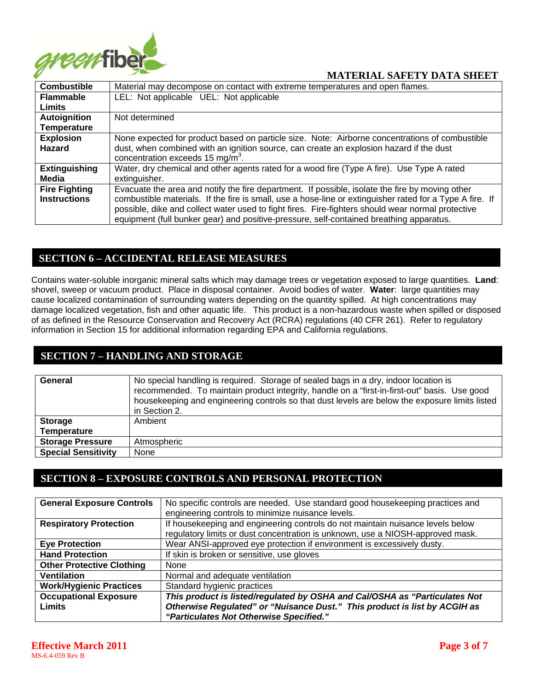

| <b>Combustible</b>   | Material may decompose on contact with extreme temperatures and open flames.                             |
|----------------------|----------------------------------------------------------------------------------------------------------|
| <b>Flammable</b>     | LEL: Not applicable UEL: Not applicable                                                                  |
| <b>Limits</b>        |                                                                                                          |
| Autoignition         | Not determined                                                                                           |
| <b>Temperature</b>   |                                                                                                          |
| <b>Explosion</b>     | None expected for product based on particle size. Note: Airborne concentrations of combustible           |
| <b>Hazard</b>        | dust, when combined with an ignition source, can create an explosion hazard if the dust                  |
|                      | concentration exceeds 15 mg/m <sup>3</sup> .                                                             |
| <b>Extinguishing</b> | Water, dry chemical and other agents rated for a wood fire (Type A fire). Use Type A rated               |
| Media                | extinguisher.                                                                                            |
| <b>Fire Fighting</b> | Evacuate the area and notify the fire department. If possible, isolate the fire by moving other          |
| <b>Instructions</b>  | combustible materials. If the fire is small, use a hose-line or extinguisher rated for a Type A fire. If |
|                      | possible, dike and collect water used to fight fires. Fire-fighters should wear normal protective        |
|                      | equipment (full bunker gear) and positive-pressure, self-contained breathing apparatus.                  |

#### **SECTION 6 – ACCIDENTAL RELEASE MEASURES**

Contains water-soluble inorganic mineral salts which may damage trees or vegetation exposed to large quantities. **Land**: shovel, sweep or vacuum product. Place in disposal container. Avoid bodies of water. **Water**: large quantities may cause localized contamination of surrounding waters depending on the quantity spilled. At high concentrations may damage localized vegetation, fish and other aquatic life. This product is a non-hazardous waste when spilled or disposed of as defined in the Resource Conservation and Recovery Act (RCRA) regulations (40 CFR 261). Refer to regulatory information in Section 15 for additional information regarding EPA and California regulations.

# **SECTION 7 – HANDLING AND STORAGE**

| General                    | No special handling is required. Storage of sealed bags in a dry, indoor location is<br>recommended. To maintain product integrity, handle on a "first-in-first-out" basis. Use good<br>housekeeping and engineering controls so that dust levels are below the exposure limits listed<br>in Section 2. |
|----------------------------|---------------------------------------------------------------------------------------------------------------------------------------------------------------------------------------------------------------------------------------------------------------------------------------------------------|
| <b>Storage</b>             | Ambient                                                                                                                                                                                                                                                                                                 |
| <b>Temperature</b>         |                                                                                                                                                                                                                                                                                                         |
| <b>Storage Pressure</b>    | Atmospheric                                                                                                                                                                                                                                                                                             |
| <b>Special Sensitivity</b> | None                                                                                                                                                                                                                                                                                                    |

### **SECTION 8 – EXPOSURE CONTROLS AND PERSONAL PROTECTION**

| <b>General Exposure Controls</b> | No specific controls are needed. Use standard good housekeeping practices and<br>engineering controls to minimize nuisance levels. |
|----------------------------------|------------------------------------------------------------------------------------------------------------------------------------|
|                                  |                                                                                                                                    |
| <b>Respiratory Protection</b>    | If housekeeping and engineering controls do not maintain nuisance levels below                                                     |
|                                  | regulatory limits or dust concentration is unknown, use a NIOSH-approved mask.                                                     |
| <b>Eye Protection</b>            | Wear ANSI-approved eye protection if environment is excessively dusty.                                                             |
| <b>Hand Protection</b>           | If skin is broken or sensitive, use gloves                                                                                         |
| <b>Other Protective Clothing</b> | None                                                                                                                               |
| <b>Ventilation</b>               | Normal and adequate ventilation                                                                                                    |
| <b>Work/Hygienic Practices</b>   | Standard hygienic practices                                                                                                        |
| <b>Occupational Exposure</b>     | This product is listed/regulated by OSHA and Cal/OSHA as "Particulates Not                                                         |
| <b>Limits</b>                    | Otherwise Regulated" or "Nuisance Dust." This product is list by ACGIH as                                                          |
|                                  | "Particulates Not Otherwise Specified."                                                                                            |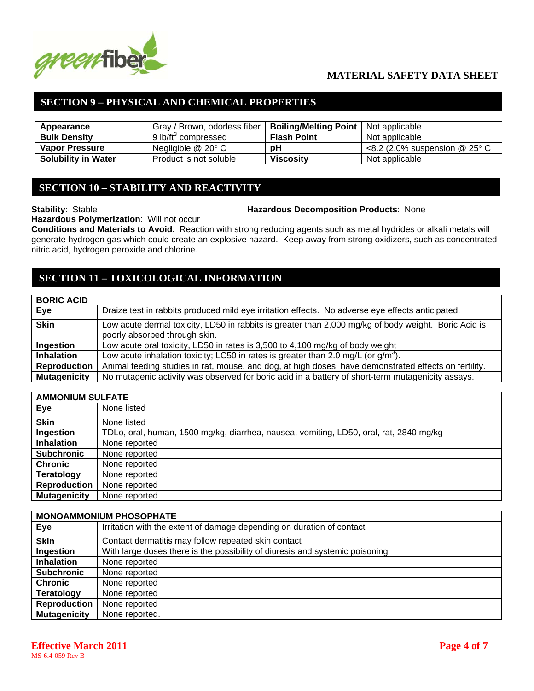

## **SECTION 9 – PHYSICAL AND CHEMICAL PROPERTIES**

| Appearance                 | Gray / Brown, odorless fiber    | <b>Boiling/Melting Point</b> | Not applicable                            |
|----------------------------|---------------------------------|------------------------------|-------------------------------------------|
| <b>Bulk Density</b>        | 9 lb/ft <sup>3</sup> compressed | <b>Flash Point</b>           | Not applicable                            |
| <b>Vapor Pressure</b>      | Negligible $@$ 20 $^{\circ}$ C  | рH                           | <8.2 (2.0% suspension $@$ 25 $^{\circ}$ C |
| <b>Solubility in Water</b> | Product is not soluble          | <b>Viscosity</b>             | Not applicable                            |

#### **SECTION 10 – STABILITY AND REACTIVITY**

#### **Stability**: Stable **Hazardous Decomposition Products**: None

**Hazardous Polymerization**: Will not occur

**Conditions and Materials to Avoid**: Reaction with strong reducing agents such as metal hydrides or alkali metals will generate hydrogen gas which could create an explosive hazard. Keep away from strong oxidizers, such as concentrated nitric acid, hydrogen peroxide and chlorine.

### **SECTION 11 – TOXICOLOGICAL INFORMATION**

| <b>BORIC ACID</b>   |                                                                                                                                       |
|---------------------|---------------------------------------------------------------------------------------------------------------------------------------|
| Eye                 | Draize test in rabbits produced mild eye irritation effects. No adverse eye effects anticipated.                                      |
| <b>Skin</b>         | Low acute dermal toxicity, LD50 in rabbits is greater than 2,000 mg/kg of body weight. Boric Acid is<br>poorly absorbed through skin. |
| Ingestion           | Low acute oral toxicity, LD50 in rates is 3,500 to 4,100 mg/kg of body weight                                                         |
| <b>Inhalation</b>   | Low acute inhalation toxicity; LC50 in rates is greater than 2.0 mg/L (or $g/m3$ ).                                                   |
| <b>Reproduction</b> | Animal feeding studies in rat, mouse, and dog, at high doses, have demonstrated effects on fertility.                                 |
| <b>Mutagenicity</b> | No mutagenic activity was observed for boric acid in a battery of short-term mutagenicity assays.                                     |

| <b>AMMONIUM SULFATE</b> |                                                                                        |  |
|-------------------------|----------------------------------------------------------------------------------------|--|
| Eye                     | None listed                                                                            |  |
| <b>Skin</b>             | None listed                                                                            |  |
| Ingestion               | TDLo, oral, human, 1500 mg/kg, diarrhea, nausea, vomiting, LD50, oral, rat, 2840 mg/kg |  |
| <b>Inhalation</b>       | None reported                                                                          |  |
| <b>Subchronic</b>       | None reported                                                                          |  |
| <b>Chronic</b>          | None reported                                                                          |  |
| <b>Teratology</b>       | None reported                                                                          |  |
| <b>Reproduction</b>     | None reported                                                                          |  |
| <b>Mutagenicity</b>     | None reported                                                                          |  |

| <b>MONOAMMONIUM PHOSOPHATE</b> |                                                                              |  |  |
|--------------------------------|------------------------------------------------------------------------------|--|--|
| Eye                            | Irritation with the extent of damage depending on duration of contact        |  |  |
| <b>Skin</b>                    | Contact dermatitis may follow repeated skin contact                          |  |  |
| Ingestion                      | With large doses there is the possibility of diuresis and systemic poisoning |  |  |
| <b>Inhalation</b>              | None reported                                                                |  |  |
| <b>Subchronic</b>              | None reported                                                                |  |  |
| <b>Chronic</b>                 | None reported                                                                |  |  |
| <b>Teratology</b>              | None reported                                                                |  |  |
| <b>Reproduction</b>            | None reported                                                                |  |  |
| <b>Mutagenicity</b>            | None reported.                                                               |  |  |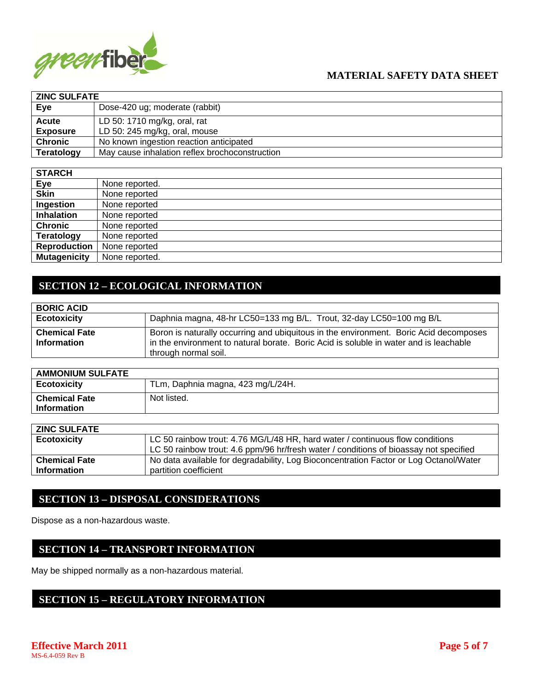

| <b>ZINC SULFATE</b> |                                                |  |
|---------------------|------------------------------------------------|--|
| Eye                 | Dose-420 ug; moderate (rabbit)                 |  |
| <b>Acute</b>        | LD 50: 1710 mg/kg, oral, rat                   |  |
| <b>Exposure</b>     | LD 50: 245 mg/kg, oral, mouse                  |  |
| <b>Chronic</b>      | No known ingestion reaction anticipated        |  |
| Teratology          | May cause inhalation reflex brochoconstruction |  |

| <b>STARCH</b>       |                |
|---------------------|----------------|
| Eye                 | None reported. |
| <b>Skin</b>         | None reported  |
| Ingestion           | None reported  |
| <b>Inhalation</b>   | None reported  |
| <b>Chronic</b>      | None reported  |
| <b>Teratology</b>   | None reported  |
| <b>Reproduction</b> | None reported  |
| <b>Mutagenicity</b> | None reported. |

# **SECTION 12 – ECOLOGICAL INFORMATION**

| <b>BORIC ACID</b>                          |                                                                                                                                                                                                        |
|--------------------------------------------|--------------------------------------------------------------------------------------------------------------------------------------------------------------------------------------------------------|
| <b>Ecotoxicity</b>                         | Daphnia magna, 48-hr LC50=133 mg B/L. Trout, 32-day LC50=100 mg B/L                                                                                                                                    |
| <b>Chemical Fate</b><br><b>Information</b> | Boron is naturally occurring and ubiquitous in the environment. Boric Acid decomposes<br>in the environment to natural borate. Boric Acid is soluble in water and is leachable<br>through normal soil. |

| <b>AMMONIUM SULFATE</b>                    |                                   |
|--------------------------------------------|-----------------------------------|
| Ecotoxicity                                | TLm, Daphnia magna, 423 mg/L/24H. |
| <b>Chemical Fate</b><br><b>Information</b> | Not listed.                       |

| <b>ZINC SULFATE</b>  |                                                                                       |
|----------------------|---------------------------------------------------------------------------------------|
| <b>Ecotoxicity</b>   | LC 50 rainbow trout: 4.76 MG/L/48 HR, hard water / continuous flow conditions         |
|                      | LC 50 rainbow trout: 4.6 ppm/96 hr/fresh water / conditions of bioassay not specified |
| <b>Chemical Fate</b> | No data available for degradability, Log Bioconcentration Factor or Log Octanol/Water |
| <b>Information</b>   | partition coefficient                                                                 |

### **SECTION 13 – DISPOSAL CONSIDERATIONS**

Dispose as a non-hazardous waste.

### **SECTION 14 – TRANSPORT INFORMATION**

May be shipped normally as a non-hazardous material.

### **SECTION 15 – REGULATORY INFORMATION**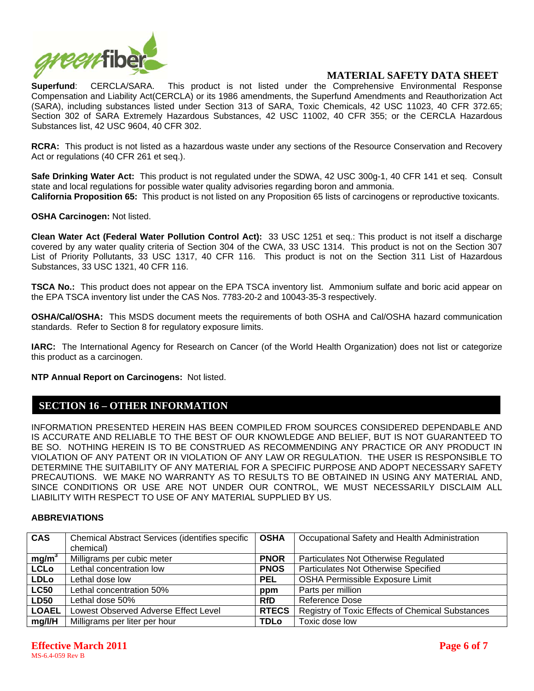

**Superfund**: CERCLA/SARA. This product is not listed under the Comprehensive Environmental Response Compensation and Liability Act(CERCLA) or its 1986 amendments, the Superfund Amendments and Reauthorization Act (SARA), including substances listed under Section 313 of SARA, Toxic Chemicals, 42 USC 11023, 40 CFR 372.65; Section 302 of SARA Extremely Hazardous Substances, 42 USC 11002, 40 CFR 355; or the CERCLA Hazardous Substances list, 42 USC 9604, 40 CFR 302.

**RCRA:** This product is not listed as a hazardous waste under any sections of the Resource Conservation and Recovery Act or regulations (40 CFR 261 et seq.).

**Safe Drinking Water Act:** This product is not regulated under the SDWA, 42 USC 300g-1, 40 CFR 141 et seq. Consult state and local regulations for possible water quality advisories regarding boron and ammonia. **California Proposition 65:** This product is not listed on any Proposition 65 lists of carcinogens or reproductive toxicants.

**OSHA Carcinogen:** Not listed.

**Clean Water Act (Federal Water Pollution Control Act):** 33 USC 1251 et seq.: This product is not itself a discharge covered by any water quality criteria of Section 304 of the CWA, 33 USC 1314. This product is not on the Section 307 List of Priority Pollutants, 33 USC 1317, 40 CFR 116. This product is not on the Section 311 List of Hazardous Substances, 33 USC 1321, 40 CFR 116.

**TSCA No.:** This product does not appear on the EPA TSCA inventory list. Ammonium sulfate and boric acid appear on the EPA TSCA inventory list under the CAS Nos. 7783-20-2 and 10043-35-3 respectively.

**OSHA/Cal/OSHA:** This MSDS document meets the requirements of both OSHA and Cal/OSHA hazard communication standards. Refer to Section 8 for regulatory exposure limits.

**IARC:** The International Agency for Research on Cancer (of the World Health Organization) does not list or categorize this product as a carcinogen.

**NTP Annual Report on Carcinogens:** Not listed.

#### **SECTION 16 – OTHER INFORMATION**

INFORMATION PRESENTED HEREIN HAS BEEN COMPILED FROM SOURCES CONSIDERED DEPENDABLE AND IS ACCURATE AND RELIABLE TO THE BEST OF OUR KNOWLEDGE AND BELIEF, BUT IS NOT GUARANTEED TO BE SO. NOTHING HEREIN IS TO BE CONSTRUED AS RECOMMENDING ANY PRACTICE OR ANY PRODUCT IN VIOLATION OF ANY PATENT OR IN VIOLATION OF ANY LAW OR REGULATION. THE USER IS RESPONSIBLE TO DETERMINE THE SUITABILITY OF ANY MATERIAL FOR A SPECIFIC PURPOSE AND ADOPT NECESSARY SAFETY PRECAUTIONS. WE MAKE NO WARRANTY AS TO RESULTS TO BE OBTAINED IN USING ANY MATERIAL AND, SINCE CONDITIONS OR USE ARE NOT UNDER OUR CONTROL, WE MUST NECESSARILY DISCLAIM ALL LIABILITY WITH RESPECT TO USE OF ANY MATERIAL SUPPLIED BY US.

#### **ABBREVIATIONS**

| <b>CAS</b>        | Chemical Abstract Services (identifies specific | <b>OSHA</b>  | Occupational Safety and Health Administration    |
|-------------------|-------------------------------------------------|--------------|--------------------------------------------------|
|                   | chemical)                                       |              |                                                  |
| mg/m <sup>3</sup> | Milligrams per cubic meter                      | <b>PNOR</b>  | Particulates Not Otherwise Regulated             |
| <b>LCLo</b>       | Lethal concentration low                        | <b>PNOS</b>  | Particulates Not Otherwise Specified             |
| <b>LDLo</b>       | Lethal dose low                                 | <b>PEL</b>   | <b>OSHA Permissible Exposure Limit</b>           |
| <b>LC50</b>       | Lethal concentration 50%                        | ppm          | Parts per million                                |
| <b>LD50</b>       | Lethal dose 50%                                 | <b>RfD</b>   | Reference Dose                                   |
| <b>LOAEL</b>      | Lowest Observed Adverse Effect Level            | <b>RTECS</b> | Registry of Toxic Effects of Chemical Substances |
| mg/ I/H           | Milligrams per liter per hour                   | <b>TDLo</b>  | Toxic dose low                                   |